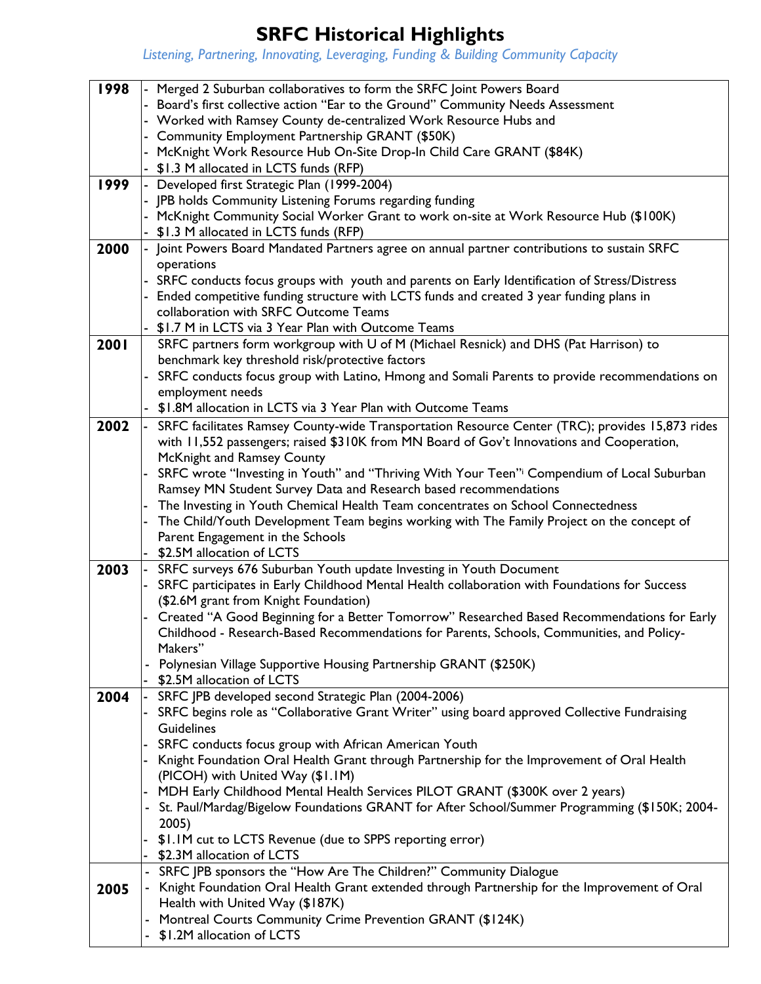## **SRFC Historical Highlights**

*Listening, Partnering, Innovating, Leveraging, Funding & Building Community Capacity*

| 1998 | - Merged 2 Suburban collaboratives to form the SRFC Joint Powers Board                          |  |  |  |
|------|-------------------------------------------------------------------------------------------------|--|--|--|
|      | Board's first collective action "Ear to the Ground" Community Needs Assessment                  |  |  |  |
|      | - Worked with Ramsey County de-centralized Work Resource Hubs and                               |  |  |  |
|      |                                                                                                 |  |  |  |
|      | - Community Employment Partnership GRANT (\$50K)                                                |  |  |  |
|      | McKnight Work Resource Hub On-Site Drop-In Child Care GRANT (\$84K)                             |  |  |  |
|      | \$1.3 M allocated in LCTS funds (RFP)                                                           |  |  |  |
| 1999 | - Developed first Strategic Plan (1999-2004)                                                    |  |  |  |
|      | JPB holds Community Listening Forums regarding funding                                          |  |  |  |
|      | McKnight Community Social Worker Grant to work on-site at Work Resource Hub (\$100K)            |  |  |  |
|      | - \$1.3 M allocated in LCTS funds (RFP)                                                         |  |  |  |
| 2000 | Joint Powers Board Mandated Partners agree on annual partner contributions to sustain SRFC      |  |  |  |
|      | operations                                                                                      |  |  |  |
|      | - SRFC conducts focus groups with youth and parents on Early Identification of Stress/Distress  |  |  |  |
|      | Ended competitive funding structure with LCTS funds and created 3 year funding plans in         |  |  |  |
|      | collaboration with SRFC Outcome Teams                                                           |  |  |  |
|      |                                                                                                 |  |  |  |
|      | \$1.7 M in LCTS via 3 Year Plan with Outcome Teams                                              |  |  |  |
| 2001 | SRFC partners form workgroup with U of M (Michael Resnick) and DHS (Pat Harrison) to            |  |  |  |
|      | benchmark key threshold risk/protective factors                                                 |  |  |  |
|      | SRFC conducts focus group with Latino, Hmong and Somali Parents to provide recommendations on   |  |  |  |
|      | employment needs                                                                                |  |  |  |
|      | \$1.8M allocation in LCTS via 3 Year Plan with Outcome Teams                                    |  |  |  |
| 2002 | SRFC facilitates Ramsey County-wide Transportation Resource Center (TRC); provides 15,873 rides |  |  |  |
|      | with 11,552 passengers; raised \$310K from MN Board of Gov't Innovations and Cooperation,       |  |  |  |
|      | McKnight and Ramsey County                                                                      |  |  |  |
|      | SRFC wrote "Investing in Youth" and "Thriving With Your Teen" Compendium of Local Suburban      |  |  |  |
|      | Ramsey MN Student Survey Data and Research based recommendations                                |  |  |  |
|      |                                                                                                 |  |  |  |
|      | The Investing in Youth Chemical Health Team concentrates on School Connectedness                |  |  |  |
|      | The Child/Youth Development Team begins working with The Family Project on the concept of       |  |  |  |
|      | Parent Engagement in the Schools                                                                |  |  |  |
|      | \$2.5M allocation of LCTS                                                                       |  |  |  |
| 2003 | SRFC surveys 676 Suburban Youth update Investing in Youth Document                              |  |  |  |
|      | SRFC participates in Early Childhood Mental Health collaboration with Foundations for Success   |  |  |  |
|      | (\$2.6M grant from Knight Foundation)                                                           |  |  |  |
|      | Created "A Good Beginning for a Better Tomorrow" Researched Based Recommendations for Early     |  |  |  |
|      | Childhood - Research-Based Recommendations for Parents, Schools, Communities, and Policy-       |  |  |  |
|      | Makers"                                                                                         |  |  |  |
|      | Polynesian Village Supportive Housing Partnership GRANT (\$250K)                                |  |  |  |
|      | \$2.5M allocation of LCTS                                                                       |  |  |  |
| 2004 | SRFC JPB developed second Strategic Plan (2004-2006)                                            |  |  |  |
|      | SRFC begins role as "Collaborative Grant Writer" using board approved Collective Fundraising    |  |  |  |
|      | Guidelines                                                                                      |  |  |  |
|      |                                                                                                 |  |  |  |
|      | SRFC conducts focus group with African American Youth                                           |  |  |  |
|      | Knight Foundation Oral Health Grant through Partnership for the Improvement of Oral Health      |  |  |  |
|      | (PICOH) with United Way (\$1.1M)                                                                |  |  |  |
|      | MDH Early Childhood Mental Health Services PILOT GRANT (\$300K over 2 years)                    |  |  |  |
|      | St. Paul/Mardag/Bigelow Foundations GRANT for After School/Summer Programming (\$150K; 2004-    |  |  |  |
|      | 2005)                                                                                           |  |  |  |
|      | \$1.1M cut to LCTS Revenue (due to SPPS reporting error)                                        |  |  |  |
|      | \$2.3M allocation of LCTS                                                                       |  |  |  |
|      | - SRFC JPB sponsors the "How Are The Children?" Community Dialogue                              |  |  |  |
| 2005 | - Knight Foundation Oral Health Grant extended through Partnership for the Improvement of Oral  |  |  |  |
|      | Health with United Way (\$187K)                                                                 |  |  |  |
|      | Montreal Courts Community Crime Prevention GRANT (\$124K)                                       |  |  |  |
|      | \$1.2M allocation of LCTS                                                                       |  |  |  |
|      |                                                                                                 |  |  |  |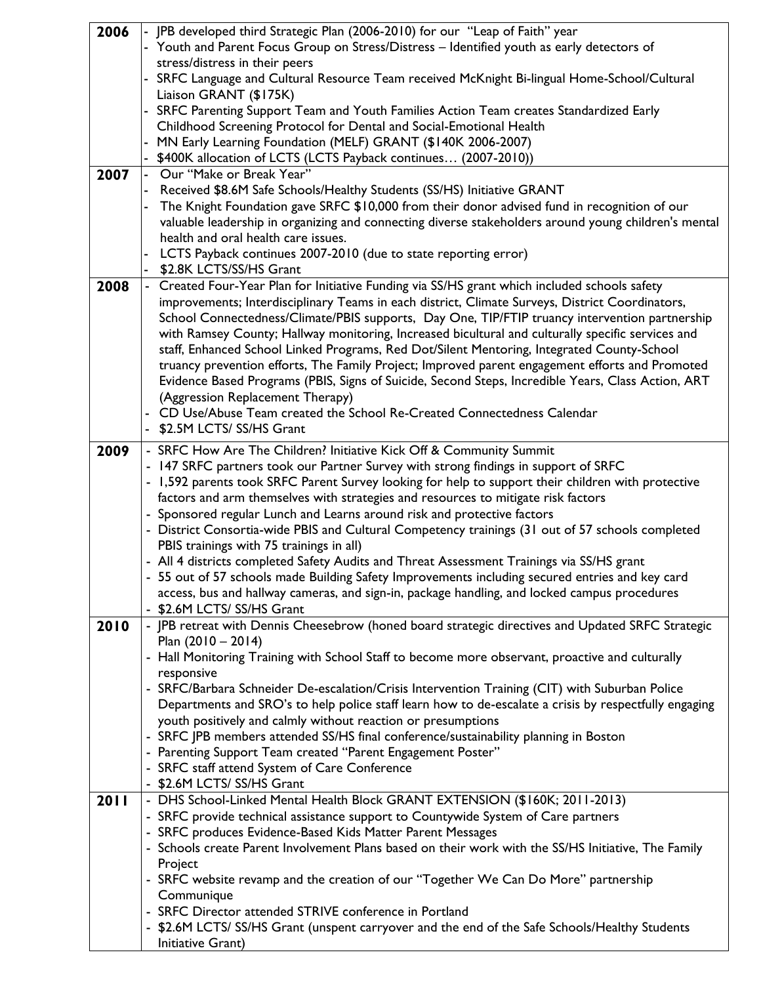| 2006        | - JPB developed third Strategic Plan (2006-2010) for our "Leap of Faith" year                         |
|-------------|-------------------------------------------------------------------------------------------------------|
|             | - Youth and Parent Focus Group on Stress/Distress - Identified youth as early detectors of            |
|             | stress/distress in their peers                                                                        |
|             | SRFC Language and Cultural Resource Team received McKnight Bi-lingual Home-School/Cultural            |
|             | Liaison GRANT (\$175K)                                                                                |
|             | SRFC Parenting Support Team and Youth Families Action Team creates Standardized Early                 |
|             | Childhood Screening Protocol for Dental and Social-Emotional Health                                   |
|             | MN Early Learning Foundation (MELF) GRANT (\$140K 2006-2007)                                          |
|             | \$400K allocation of LCTS (LCTS Payback continues (2007-2010))                                        |
| 2007        | - Our "Make or Break Year"                                                                            |
|             | Received \$8.6M Safe Schools/Healthy Students (SS/HS) Initiative GRANT                                |
|             | The Knight Foundation gave SRFC \$10,000 from their donor advised fund in recognition of our          |
|             | valuable leadership in organizing and connecting diverse stakeholders around young children's mental  |
|             | health and oral health care issues.                                                                   |
|             |                                                                                                       |
|             | LCTS Payback continues 2007-2010 (due to state reporting error)                                       |
|             | \$2.8K LCTS/SS/HS Grant                                                                               |
| 2008        | - Created Four-Year Plan for Initiative Funding via SS/HS grant which included schools safety         |
|             | improvements; Interdisciplinary Teams in each district, Climate Surveys, District Coordinators,       |
|             | School Connectedness/Climate/PBIS supports, Day One, TIP/FTIP truancy intervention partnership        |
|             | with Ramsey County; Hallway monitoring, Increased bicultural and culturally specific services and     |
|             | staff, Enhanced School Linked Programs, Red Dot/Silent Mentoring, Integrated County-School            |
|             | truancy prevention efforts, The Family Project; Improved parent engagement efforts and Promoted       |
|             | Evidence Based Programs (PBIS, Signs of Suicide, Second Steps, Incredible Years, Class Action, ART    |
|             | (Aggression Replacement Therapy)                                                                      |
|             | - CD Use/Abuse Team created the School Re-Created Connectedness Calendar                              |
|             | - \$2.5M LCTS/ SS/HS Grant                                                                            |
| 2009        | - SRFC How Are The Children? Initiative Kick Off & Community Summit                                   |
|             | - 147 SRFC partners took our Partner Survey with strong findings in support of SRFC                   |
|             | - 1,592 parents took SRFC Parent Survey looking for help to support their children with protective    |
|             |                                                                                                       |
|             | factors and arm themselves with strategies and resources to mitigate risk factors                     |
|             | - Sponsored regular Lunch and Learns around risk and protective factors                               |
|             | - District Consortia-wide PBIS and Cultural Competency trainings (31 out of 57 schools completed      |
|             | PBIS trainings with 75 trainings in all)                                                              |
|             | - All 4 districts completed Safety Audits and Threat Assessment Trainings via SS/HS grant             |
|             | - 55 out of 57 schools made Building Safety Improvements including secured entries and key card       |
|             | access, bus and hallway cameras, and sign-in, package handling, and locked campus procedures          |
|             | - \$2.6M LCTS/ SS/HS Grant                                                                            |
| 2010        | - JPB retreat with Dennis Cheesebrow (honed board strategic directives and Updated SRFC Strategic     |
|             | Plan $(2010 - 2014)$                                                                                  |
|             | - Hall Monitoring Training with School Staff to become more observant, proactive and culturally       |
|             | responsive                                                                                            |
|             | - SRFC/Barbara Schneider De-escalation/Crisis Intervention Training (CIT) with Suburban Police        |
|             | Departments and SRO's to help police staff learn how to de-escalate a crisis by respectfully engaging |
|             | youth positively and calmly without reaction or presumptions                                          |
|             | - SRFC JPB members attended SS/HS final conference/sustainability planning in Boston                  |
|             | - Parenting Support Team created "Parent Engagement Poster"                                           |
|             | - SRFC staff attend System of Care Conference                                                         |
|             | - \$2.6M LCTS/ SS/HS Grant                                                                            |
| <b>2011</b> | - DHS School-Linked Mental Health Block GRANT EXTENSION (\$160K; 2011-2013)                           |
|             | - SRFC provide technical assistance support to Countywide System of Care partners                     |
|             | - SRFC produces Evidence-Based Kids Matter Parent Messages                                            |
|             | - Schools create Parent Involvement Plans based on their work with the SS/HS Initiative, The Family   |
|             | Project                                                                                               |
|             | - SRFC website revamp and the creation of our "Together We Can Do More" partnership                   |
|             | Communique                                                                                            |
|             | - SRFC Director attended STRIVE conference in Portland                                                |
|             | - \$2.6M LCTS/ SS/HS Grant (unspent carryover and the end of the Safe Schools/Healthy Students        |
|             | Initiative Grant)                                                                                     |
|             |                                                                                                       |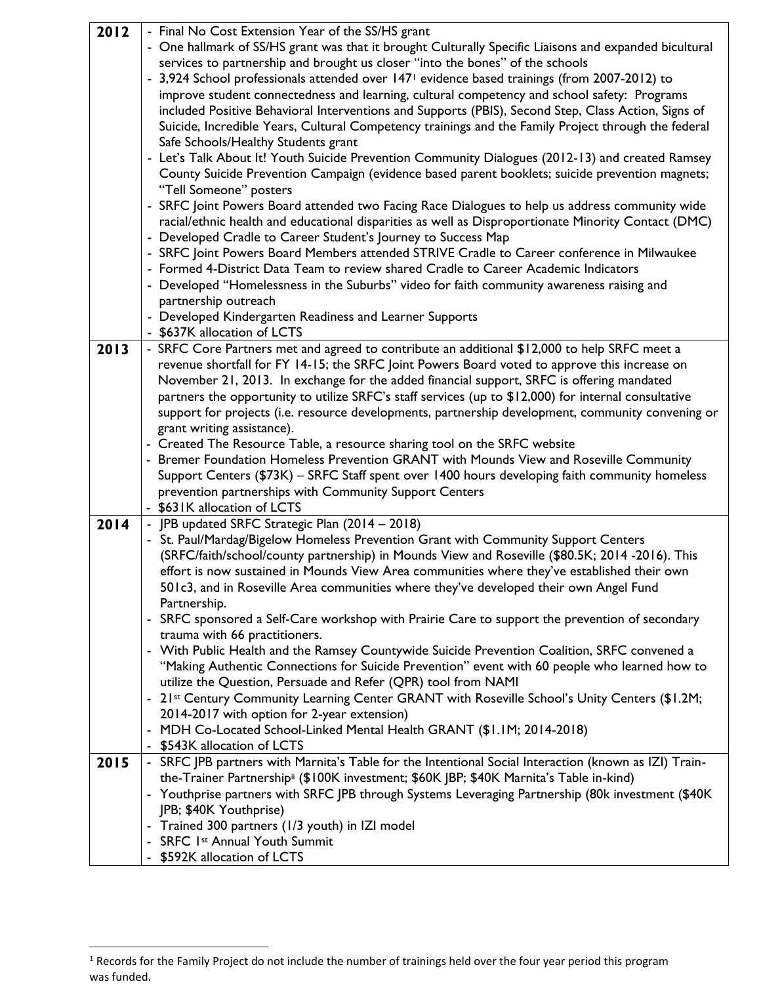| 2012 | - Final No Cost Extension Year of the SS/HS grant                                                                         |
|------|---------------------------------------------------------------------------------------------------------------------------|
|      | - One hallmark of SS/HS grant was that it brought Culturally Specific Liaisons and expanded bicultural                    |
|      | services to partnership and brought us closer "into the bones" of the schools                                             |
|      | - 3,924 School professionals attended over 147 <sup>1</sup> evidence based trainings (from 2007-2012) to                  |
|      | improve student connectedness and learning, cultural competency and school safety: Programs                               |
|      | included Positive Behavioral Interventions and Supports (PBIS), Second Step, Class Action, Signs of                       |
|      | Suicide, Incredible Years, Cultural Competency trainings and the Family Project through the federal                       |
|      | Safe Schools/Healthy Students grant                                                                                       |
|      | - Let's Talk About It! Youth Suicide Prevention Community Dialogues (2012-13) and created Ramsey                          |
|      |                                                                                                                           |
|      | County Suicide Prevention Campaign (evidence based parent booklets; suicide prevention magnets;<br>"Tell Someone" posters |
|      | - SRFC Joint Powers Board attended two Facing Race Dialogues to help us address community wide                            |
|      | racial/ethnic health and educational disparities as well as Disproportionate Minority Contact (DMC)                       |
|      | - Developed Cradle to Career Student's Journey to Success Map                                                             |
|      |                                                                                                                           |
|      | - SRFC Joint Powers Board Members attended STRIVE Cradle to Career conference in Milwaukee                                |
|      | - Formed 4-District Data Team to review shared Cradle to Career Academic Indicators                                       |
|      | - Developed "Homelessness in the Suburbs" video for faith community awareness raising and                                 |
|      | partnership outreach                                                                                                      |
|      | - Developed Kindergarten Readiness and Learner Supports                                                                   |
|      | - \$637K allocation of LCTS                                                                                               |
| 2013 | - SRFC Core Partners met and agreed to contribute an additional \$12,000 to help SRFC meet a                              |
|      | revenue shortfall for FY 14-15; the SRFC Joint Powers Board voted to approve this increase on                             |
|      | November 21, 2013. In exchange for the added financial support, SRFC is offering mandated                                 |
|      | partners the opportunity to utilize SRFC's staff services (up to \$12,000) for internal consultative                      |
|      | support for projects (i.e. resource developments, partnership development, community convening or                         |
|      | grant writing assistance).                                                                                                |
|      | - Created The Resource Table, a resource sharing tool on the SRFC website                                                 |
|      | - Bremer Foundation Homeless Prevention GRANT with Mounds View and Roseville Community                                    |
|      | Support Centers (\$73K) - SRFC Staff spent over 1400 hours developing faith community homeless                            |
|      | prevention partnerships with Community Support Centers                                                                    |
|      | - \$631K allocation of LCTS                                                                                               |
| 2014 | - JPB updated SRFC Strategic Plan (2014 - 2018)                                                                           |
|      | - St. Paul/Mardag/Bigelow Homeless Prevention Grant with Community Support Centers                                        |
|      | (SRFC/faith/school/county partnership) in Mounds View and Roseville (\$80.5K; 2014 -2016). This                           |
|      | effort is now sustained in Mounds View Area communities where they've established their own                               |
|      | 501c3, and in Roseville Area communities where they've developed their own Angel Fund                                     |
|      | Partnership.                                                                                                              |
|      | - SRFC sponsored a Self-Care workshop with Prairie Care to support the prevention of secondary                            |
|      | trauma with 66 practitioners.                                                                                             |
|      | - With Public Health and the Ramsey Countywide Suicide Prevention Coalition, SRFC convened a                              |
|      | "Making Authentic Connections for Suicide Prevention" event with 60 people who learned how to                             |
|      | utilize the Question, Persuade and Refer (QPR) tool from NAMI                                                             |
|      | - 21st Century Community Learning Center GRANT with Roseville School's Unity Centers (\$1.2M;                             |
|      | 2014-2017 with option for 2-year extension)                                                                               |
|      | - MDH Co-Located School-Linked Mental Health GRANT (\$1.1M; 2014-2018)                                                    |
|      | - \$543K allocation of LCTS                                                                                               |
| 2015 | - SRFC JPB partners with Marnita's Table for the Intentional Social Interaction (known as IZI) Train-                     |
|      | the-Trainer Partnership <sup>ii</sup> (\$100K investment; \$60K JBP; \$40K Marnita's Table in-kind)                       |
|      | - Youthprise partners with SRFC JPB through Systems Leveraging Partnership (80k investment (\$40K                         |
|      |                                                                                                                           |
|      | JPB; \$40K Youthprise)                                                                                                    |
|      | - Trained 300 partners (1/3 youth) in IZI model                                                                           |
|      | - SRFC Ist Annual Youth Summit                                                                                            |

<sup>&</sup>lt;sup>1</sup> Records for the Family Project do not include the number of trainings held over the four year period this program was funded.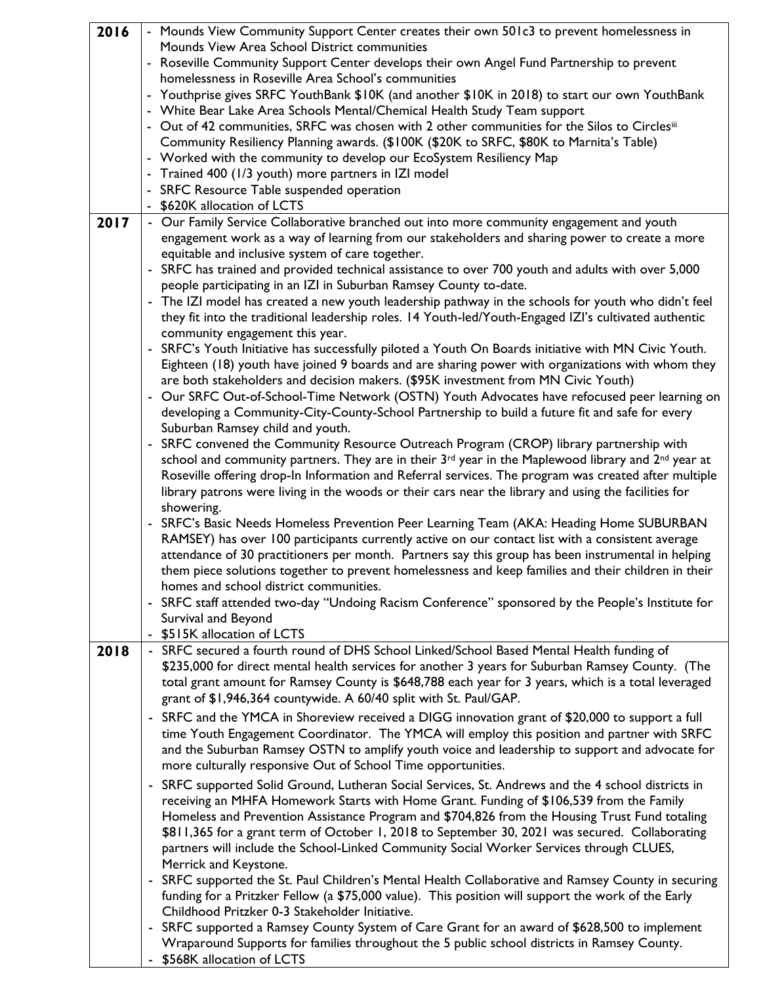| 2016 | - Mounds View Community Support Center creates their own 501c3 to prevent homelessness in                                                                                                |  |  |  |
|------|------------------------------------------------------------------------------------------------------------------------------------------------------------------------------------------|--|--|--|
|      | Mounds View Area School District communities                                                                                                                                             |  |  |  |
|      | - Roseville Community Support Center develops their own Angel Fund Partnership to prevent                                                                                                |  |  |  |
|      | homelessness in Roseville Area School's communities                                                                                                                                      |  |  |  |
|      | - Youthprise gives SRFC YouthBank \$10K (and another \$10K in 2018) to start our own YouthBank                                                                                           |  |  |  |
|      | - White Bear Lake Area Schools Mental/Chemical Health Study Team support                                                                                                                 |  |  |  |
|      | - Out of 42 communities, SRFC was chosen with 2 other communities for the Silos to Circlesiii<br>Community Resiliency Planning awards. (\$100K (\$20K to SRFC, \$80K to Marnita's Table) |  |  |  |
|      | - Worked with the community to develop our EcoSystem Resiliency Map                                                                                                                      |  |  |  |
|      | - Trained 400 (1/3 youth) more partners in IZI model                                                                                                                                     |  |  |  |
|      | - SRFC Resource Table suspended operation                                                                                                                                                |  |  |  |
|      | - \$620K allocation of LCTS                                                                                                                                                              |  |  |  |
| 2017 | - Our Family Service Collaborative branched out into more community engagement and youth                                                                                                 |  |  |  |
|      | engagement work as a way of learning from our stakeholders and sharing power to create a more                                                                                            |  |  |  |
|      | equitable and inclusive system of care together.                                                                                                                                         |  |  |  |
|      | - SRFC has trained and provided technical assistance to over 700 youth and adults with over 5,000                                                                                        |  |  |  |
|      | people participating in an IZI in Suburban Ramsey County to-date.                                                                                                                        |  |  |  |
|      | The IZI model has created a new youth leadership pathway in the schools for youth who didn't feel                                                                                        |  |  |  |
|      | they fit into the traditional leadership roles. 14 Youth-led/Youth-Engaged IZI's cultivated authentic                                                                                    |  |  |  |
|      | community engagement this year.                                                                                                                                                          |  |  |  |
|      | - SRFC's Youth Initiative has successfully piloted a Youth On Boards initiative with MN Civic Youth.                                                                                     |  |  |  |
|      | Eighteen (18) youth have joined 9 boards and are sharing power with organizations with whom they<br>are both stakeholders and decision makers. (\$95K investment from MN Civic Youth)    |  |  |  |
|      | - Our SRFC Out-of-School-Time Network (OSTN) Youth Advocates have refocused peer learning on                                                                                             |  |  |  |
|      | developing a Community-City-County-School Partnership to build a future fit and safe for every                                                                                           |  |  |  |
|      | Suburban Ramsey child and youth.                                                                                                                                                         |  |  |  |
|      | SRFC convened the Community Resource Outreach Program (CROP) library partnership with<br>$\blacksquare$                                                                                  |  |  |  |
|      | school and community partners. They are in their 3rd year in the Maplewood library and 2nd year at                                                                                       |  |  |  |
|      | Roseville offering drop-In Information and Referral services. The program was created after multiple                                                                                     |  |  |  |
|      | library patrons were living in the woods or their cars near the library and using the facilities for                                                                                     |  |  |  |
|      | showering.                                                                                                                                                                               |  |  |  |
|      | - SRFC's Basic Needs Homeless Prevention Peer Learning Team (AKA: Heading Home SUBURBAN                                                                                                  |  |  |  |
|      | RAMSEY) has over 100 participants currently active on our contact list with a consistent average                                                                                         |  |  |  |
|      | attendance of 30 practitioners per month. Partners say this group has been instrumental in helping                                                                                       |  |  |  |
|      | them piece solutions together to prevent homelessness and keep families and their children in their                                                                                      |  |  |  |
|      | homes and school district communities.                                                                                                                                                   |  |  |  |
|      | - SRFC staff attended two-day "Undoing Racism Conference" sponsored by the People's Institute for                                                                                        |  |  |  |
|      | Survival and Beyond                                                                                                                                                                      |  |  |  |
| 2018 | \$515K allocation of LCTS<br>- SRFC secured a fourth round of DHS School Linked/School Based Mental Health funding of                                                                    |  |  |  |
|      | \$235,000 for direct mental health services for another 3 years for Suburban Ramsey County. (The                                                                                         |  |  |  |
|      | total grant amount for Ramsey County is \$648,788 each year for 3 years, which is a total leveraged                                                                                      |  |  |  |
|      | grant of \$1,946,364 countywide. A 60/40 split with St. Paul/GAP.                                                                                                                        |  |  |  |
|      | - SRFC and the YMCA in Shoreview received a DIGG innovation grant of \$20,000 to support a full                                                                                          |  |  |  |
|      | time Youth Engagement Coordinator. The YMCA will employ this position and partner with SRFC                                                                                              |  |  |  |
|      | and the Suburban Ramsey OSTN to amplify youth voice and leadership to support and advocate for                                                                                           |  |  |  |
|      | more culturally responsive Out of School Time opportunities.                                                                                                                             |  |  |  |
|      | - SRFC supported Solid Ground, Lutheran Social Services, St. Andrews and the 4 school districts in                                                                                       |  |  |  |
|      | receiving an MHFA Homework Starts with Home Grant. Funding of \$106,539 from the Family                                                                                                  |  |  |  |
|      | Homeless and Prevention Assistance Program and \$704,826 from the Housing Trust Fund totaling                                                                                            |  |  |  |
|      | \$811,365 for a grant term of October 1, 2018 to September 30, 2021 was secured. Collaborating                                                                                           |  |  |  |
|      | partners will include the School-Linked Community Social Worker Services through CLUES,                                                                                                  |  |  |  |
|      | Merrick and Keystone.                                                                                                                                                                    |  |  |  |
|      | - SRFC supported the St. Paul Children's Mental Health Collaborative and Ramsey County in securing                                                                                       |  |  |  |
|      | funding for a Pritzker Fellow (a \$75,000 value). This position will support the work of the Early                                                                                       |  |  |  |
|      | Childhood Pritzker 0-3 Stakeholder Initiative.                                                                                                                                           |  |  |  |
|      | - SRFC supported a Ramsey County System of Care Grant for an award of \$628,500 to implement                                                                                             |  |  |  |
|      | Wraparound Supports for families throughout the 5 public school districts in Ramsey County.                                                                                              |  |  |  |

- \$568K allocation of LCTS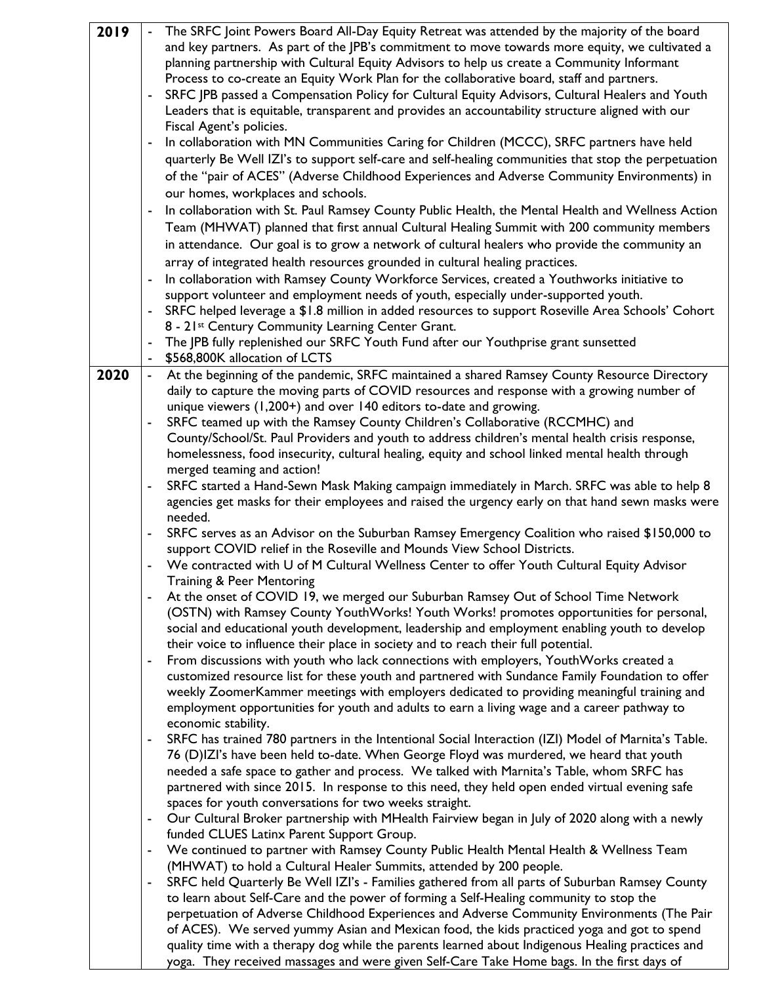| 2019 |                          | The SRFC Joint Powers Board All-Day Equity Retreat was attended by the majority of the board                                                                                        |
|------|--------------------------|-------------------------------------------------------------------------------------------------------------------------------------------------------------------------------------|
|      |                          | and key partners. As part of the JPB's commitment to move towards more equity, we cultivated a                                                                                      |
|      |                          | planning partnership with Cultural Equity Advisors to help us create a Community Informant                                                                                          |
|      |                          | Process to co-create an Equity Work Plan for the collaborative board, staff and partners.                                                                                           |
|      |                          | SRFC JPB passed a Compensation Policy for Cultural Equity Advisors, Cultural Healers and Youth                                                                                      |
|      |                          | Leaders that is equitable, transparent and provides an accountability structure aligned with our                                                                                    |
|      |                          | Fiscal Agent's policies.                                                                                                                                                            |
|      | ٠                        | In collaboration with MN Communities Caring for Children (MCCC), SRFC partners have held                                                                                            |
|      |                          | quarterly Be Well IZI's to support self-care and self-healing communities that stop the perpetuation                                                                                |
|      |                          | of the "pair of ACES" (Adverse Childhood Experiences and Adverse Community Environments) in                                                                                         |
|      |                          | our homes, workplaces and schools.                                                                                                                                                  |
|      | $\blacksquare$           | In collaboration with St. Paul Ramsey County Public Health, the Mental Health and Wellness Action                                                                                   |
|      |                          | Team (MHWAT) planned that first annual Cultural Healing Summit with 200 community members                                                                                           |
|      |                          | in attendance. Our goal is to grow a network of cultural healers who provide the community an                                                                                       |
|      |                          | array of integrated health resources grounded in cultural healing practices.                                                                                                        |
|      |                          |                                                                                                                                                                                     |
|      |                          | In collaboration with Ramsey County Workforce Services, created a Youthworks initiative to                                                                                          |
|      |                          | support volunteer and employment needs of youth, especially under-supported youth.                                                                                                  |
|      |                          | SRFC helped leverage a \$1.8 million in added resources to support Roseville Area Schools' Cohort<br>8 - 21st Century Community Learning Center Grant.                              |
|      | $\blacksquare$           | The JPB fully replenished our SRFC Youth Fund after our Youthprise grant sunsetted                                                                                                  |
|      |                          | \$568,800K allocation of LCTS                                                                                                                                                       |
| 2020 |                          | At the beginning of the pandemic, SRFC maintained a shared Ramsey County Resource Directory                                                                                         |
|      |                          | daily to capture the moving parts of COVID resources and response with a growing number of                                                                                          |
|      |                          | unique viewers (1,200+) and over 140 editors to-date and growing.                                                                                                                   |
|      |                          | SRFC teamed up with the Ramsey County Children's Collaborative (RCCMHC) and                                                                                                         |
|      |                          | County/School/St. Paul Providers and youth to address children's mental health crisis response,                                                                                     |
|      |                          | homelessness, food insecurity, cultural healing, equity and school linked mental health through                                                                                     |
|      |                          | merged teaming and action!                                                                                                                                                          |
|      | ٠                        | SRFC started a Hand-Sewn Mask Making campaign immediately in March. SRFC was able to help 8                                                                                         |
|      |                          | agencies get masks for their employees and raised the urgency early on that hand sewn masks were                                                                                    |
|      |                          | needed.                                                                                                                                                                             |
|      |                          | SRFC serves as an Advisor on the Suburban Ramsey Emergency Coalition who raised \$150,000 to                                                                                        |
|      |                          | support COVID relief in the Roseville and Mounds View School Districts.                                                                                                             |
|      |                          | We contracted with U of M Cultural Wellness Center to offer Youth Cultural Equity Advisor                                                                                           |
|      |                          | Training & Peer Mentoring                                                                                                                                                           |
|      |                          | At the onset of COVID 19, we merged our Suburban Ramsey Out of School Time Network                                                                                                  |
|      |                          | (OSTN) with Ramsey County YouthWorks! Youth Works! promotes opportunities for personal,                                                                                             |
|      |                          | social and educational youth development, leadership and employment enabling youth to develop                                                                                       |
|      |                          | their voice to influence their place in society and to reach their full potential.                                                                                                  |
|      |                          | From discussions with youth who lack connections with employers, YouthWorks created a                                                                                               |
|      |                          | customized resource list for these youth and partnered with Sundance Family Foundation to offer                                                                                     |
|      |                          | weekly ZoomerKammer meetings with employers dedicated to providing meaningful training and                                                                                          |
|      |                          | employment opportunities for youth and adults to earn a living wage and a career pathway to                                                                                         |
|      |                          | economic stability.                                                                                                                                                                 |
|      |                          | SRFC has trained 780 partners in the Intentional Social Interaction (IZI) Model of Marnita's Table.                                                                                 |
|      |                          | 76 (D)IZI's have been held to-date. When George Floyd was murdered, we heard that youth<br>needed a safe space to gather and process. We talked with Marnita's Table, whom SRFC has |
|      |                          | partnered with since 2015. In response to this need, they held open ended virtual evening safe                                                                                      |
|      |                          | spaces for youth conversations for two weeks straight.                                                                                                                              |
|      | $\overline{\phantom{0}}$ | Our Cultural Broker partnership with MHealth Fairview began in July of 2020 along with a newly                                                                                      |
|      |                          | funded CLUES Latinx Parent Support Group.                                                                                                                                           |
|      | ۰                        | We continued to partner with Ramsey County Public Health Mental Health & Wellness Team                                                                                              |
|      |                          | (MHWAT) to hold a Cultural Healer Summits, attended by 200 people.                                                                                                                  |
|      |                          | SRFC held Quarterly Be Well IZI's - Families gathered from all parts of Suburban Ramsey County                                                                                      |
|      |                          | to learn about Self-Care and the power of forming a Self-Healing community to stop the                                                                                              |
|      |                          | perpetuation of Adverse Childhood Experiences and Adverse Community Environments (The Pair                                                                                          |
|      |                          | of ACES). We served yummy Asian and Mexican food, the kids practiced yoga and got to spend                                                                                          |
|      |                          | quality time with a therapy dog while the parents learned about Indigenous Healing practices and                                                                                    |

yoga. They received massages and were given Self-Care Take Home bags. In the first days of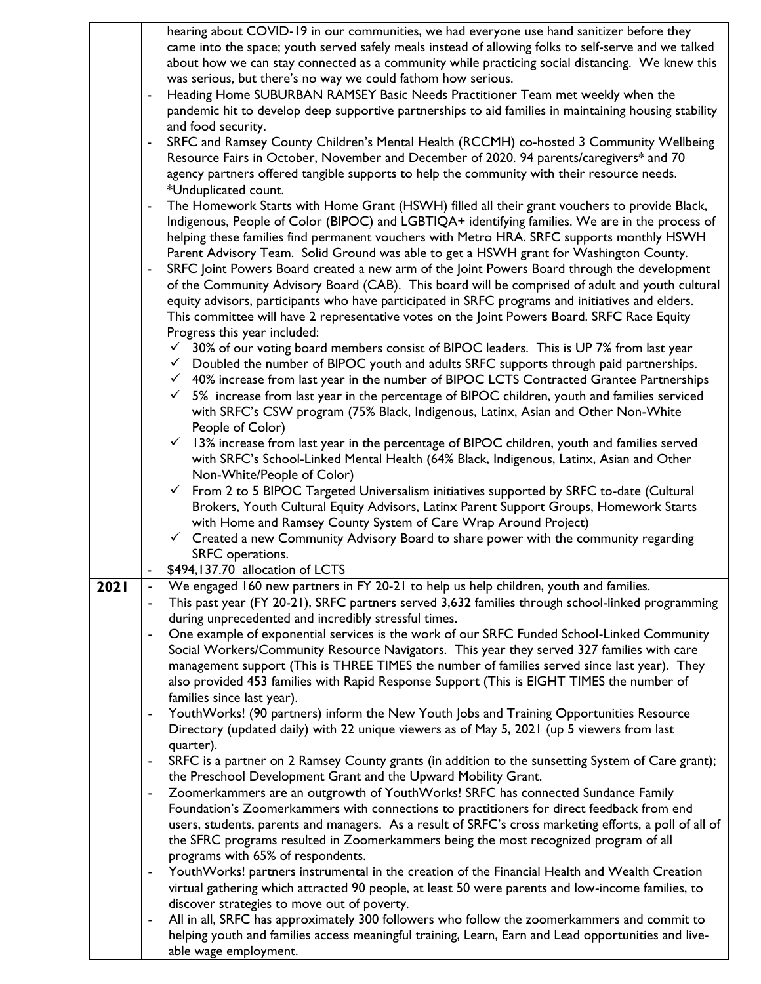|      |   | hearing about COVID-19 in our communities, we had everyone use hand sanitizer before they                |  |
|------|---|----------------------------------------------------------------------------------------------------------|--|
|      |   | came into the space; youth served safely meals instead of allowing folks to self-serve and we talked     |  |
|      |   | about how we can stay connected as a community while practicing social distancing. We knew this          |  |
|      |   | was serious, but there's no way we could fathom how serious.                                             |  |
|      |   | Heading Home SUBURBAN RAMSEY Basic Needs Practitioner Team met weekly when the                           |  |
|      |   | pandemic hit to develop deep supportive partnerships to aid families in maintaining housing stability    |  |
|      |   | and food security.                                                                                       |  |
|      |   | SRFC and Ramsey County Children's Mental Health (RCCMH) co-hosted 3 Community Wellbeing                  |  |
|      |   |                                                                                                          |  |
|      |   | Resource Fairs in October, November and December of 2020. 94 parents/caregivers* and 70                  |  |
|      |   | agency partners offered tangible supports to help the community with their resource needs.               |  |
|      |   | *Unduplicated count.                                                                                     |  |
|      |   | The Homework Starts with Home Grant (HSWH) filled all their grant vouchers to provide Black,             |  |
|      |   | Indigenous, People of Color (BIPOC) and LGBTIQA+ identifying families. We are in the process of          |  |
|      |   | helping these families find permanent vouchers with Metro HRA. SRFC supports monthly HSWH                |  |
|      |   | Parent Advisory Team. Solid Ground was able to get a HSWH grant for Washington County.                   |  |
|      |   | SRFC Joint Powers Board created a new arm of the Joint Powers Board through the development              |  |
|      |   | of the Community Advisory Board (CAB). This board will be comprised of adult and youth cultural          |  |
|      |   | equity advisors, participants who have participated in SRFC programs and initiatives and elders.         |  |
|      |   | This committee will have 2 representative votes on the Joint Powers Board. SRFC Race Equity              |  |
|      |   | Progress this year included:                                                                             |  |
|      |   | $\checkmark$ 30% of our voting board members consist of BIPOC leaders. This is UP 7% from last year      |  |
|      |   | $\checkmark$ Doubled the number of BIPOC youth and adults SRFC supports through paid partnerships.       |  |
|      |   | $\checkmark$ 40% increase from last year in the number of BIPOC LCTS Contracted Grantee Partnerships     |  |
|      |   | $\checkmark$ 5% increase from last year in the percentage of BIPOC children, youth and families serviced |  |
|      |   | with SRFC's CSW program (75% Black, Indigenous, Latinx, Asian and Other Non-White                        |  |
|      |   | People of Color)                                                                                         |  |
|      |   | $\checkmark$                                                                                             |  |
|      |   | 13% increase from last year in the percentage of BIPOC children, youth and families served               |  |
|      |   | with SRFC's School-Linked Mental Health (64% Black, Indigenous, Latinx, Asian and Other                  |  |
|      |   | Non-White/People of Color)                                                                               |  |
|      |   | $\checkmark$ From 2 to 5 BIPOC Targeted Universalism initiatives supported by SRFC to-date (Cultural     |  |
|      |   | Brokers, Youth Cultural Equity Advisors, Latinx Parent Support Groups, Homework Starts                   |  |
|      |   | with Home and Ramsey County System of Care Wrap Around Project)                                          |  |
|      |   | $\checkmark$ Created a new Community Advisory Board to share power with the community regarding          |  |
|      |   | SRFC operations.                                                                                         |  |
|      |   | \$494,137.70 allocation of LCTS                                                                          |  |
| 2021 |   | We engaged 160 new partners in FY 20-21 to help us help children, youth and families.                    |  |
|      |   | This past year (FY 20-21), SRFC partners served 3,632 families through school-linked programming         |  |
|      |   | during unprecedented and incredibly stressful times.                                                     |  |
|      | - | One example of exponential services is the work of our SRFC Funded School-Linked Community               |  |
|      |   | Social Workers/Community Resource Navigators. This year they served 327 families with care               |  |
|      |   | management support (This is THREE TIMES the number of families served since last year). They             |  |
|      |   | also provided 453 families with Rapid Response Support (This is EIGHT TIMES the number of                |  |
|      |   | families since last year).                                                                               |  |
|      |   | YouthWorks! (90 partners) inform the New Youth Jobs and Training Opportunities Resource                  |  |
|      |   | Directory (updated daily) with 22 unique viewers as of May 5, 2021 (up 5 viewers from last               |  |
|      |   | quarter).                                                                                                |  |
|      | - | SRFC is a partner on 2 Ramsey County grants (in addition to the sunsetting System of Care grant);        |  |
|      |   | the Preschool Development Grant and the Upward Mobility Grant.                                           |  |
|      | ۰ | Zoomerkammers are an outgrowth of YouthWorks! SRFC has connected Sundance Family                         |  |
|      |   |                                                                                                          |  |
|      |   | Foundation's Zoomerkammers with connections to practitioners for direct feedback from end                |  |
|      |   | users, students, parents and managers. As a result of SRFC's cross marketing efforts, a poll of all of   |  |
|      |   | the SFRC programs resulted in Zoomerkammers being the most recognized program of all                     |  |
|      |   | programs with 65% of respondents.                                                                        |  |
|      | - | YouthWorks! partners instrumental in the creation of the Financial Health and Wealth Creation            |  |
|      |   | virtual gathering which attracted 90 people, at least 50 were parents and low-income families, to        |  |
|      |   | discover strategies to move out of poverty.                                                              |  |
|      | ۰ | All in all, SRFC has approximately 300 followers who follow the zoomerkammers and commit to              |  |
|      |   | helping youth and families access meaningful training, Learn, Earn and Lead opportunities and live-      |  |
|      |   | able wage employment.                                                                                    |  |

 $\mathsf{l}$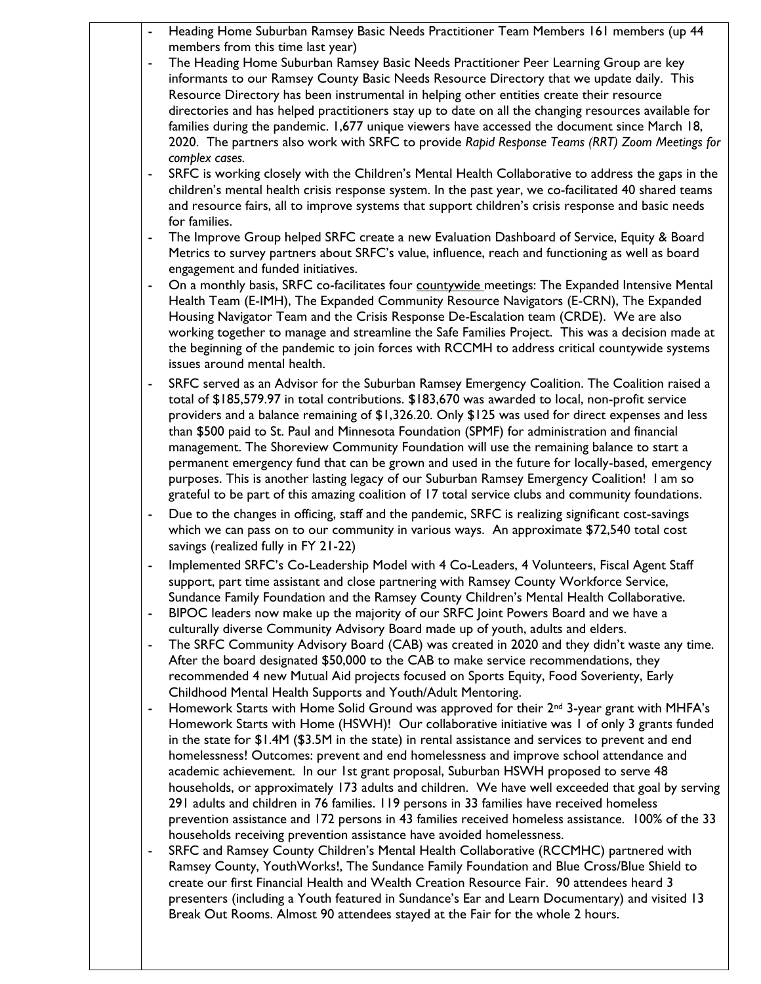| $\blacksquare$ | Heading Home Suburban Ramsey Basic Needs Practitioner Team Members 161 members (up 44                                                                                                                 |
|----------------|-------------------------------------------------------------------------------------------------------------------------------------------------------------------------------------------------------|
|                | members from this time last year)                                                                                                                                                                     |
| $\blacksquare$ | The Heading Home Suburban Ramsey Basic Needs Practitioner Peer Learning Group are key<br>informants to our Ramsey County Basic Needs Resource Directory that we update daily. This                    |
|                | Resource Directory has been instrumental in helping other entities create their resource                                                                                                              |
|                | directories and has helped practitioners stay up to date on all the changing resources available for                                                                                                  |
|                | families during the pandemic. 1,677 unique viewers have accessed the document since March 18,                                                                                                         |
|                | 2020. The partners also work with SRFC to provide Rapid Response Teams (RRT) Zoom Meetings for                                                                                                        |
|                | complex cases.                                                                                                                                                                                        |
|                | SRFC is working closely with the Children's Mental Health Collaborative to address the gaps in the                                                                                                    |
|                | children's mental health crisis response system. In the past year, we co-facilitated 40 shared teams                                                                                                  |
|                | and resource fairs, all to improve systems that support children's crisis response and basic needs                                                                                                    |
| ٠              | for families.<br>The Improve Group helped SRFC create a new Evaluation Dashboard of Service, Equity & Board                                                                                           |
|                | Metrics to survey partners about SRFC's value, influence, reach and functioning as well as board                                                                                                      |
|                | engagement and funded initiatives.                                                                                                                                                                    |
| $\blacksquare$ | On a monthly basis, SRFC co-facilitates four countywide meetings: The Expanded Intensive Mental                                                                                                       |
|                | Health Team (E-IMH), The Expanded Community Resource Navigators (E-CRN), The Expanded                                                                                                                 |
|                | Housing Navigator Team and the Crisis Response De-Escalation team (CRDE). We are also                                                                                                                 |
|                | working together to manage and streamline the Safe Families Project. This was a decision made at                                                                                                      |
|                | the beginning of the pandemic to join forces with RCCMH to address critical countywide systems                                                                                                        |
|                | issues around mental health.                                                                                                                                                                          |
| ٠              | SRFC served as an Advisor for the Suburban Ramsey Emergency Coalition. The Coalition raised a                                                                                                         |
|                | total of \$185,579.97 in total contributions. \$183,670 was awarded to local, non-profit service<br>providers and a balance remaining of \$1,326.20. Only \$125 was used for direct expenses and less |
|                | than \$500 paid to St. Paul and Minnesota Foundation (SPMF) for administration and financial                                                                                                          |
|                | management. The Shoreview Community Foundation will use the remaining balance to start a                                                                                                              |
|                | permanent emergency fund that can be grown and used in the future for locally-based, emergency                                                                                                        |
|                | purposes. This is another lasting legacy of our Suburban Ramsey Emergency Coalition! I am so                                                                                                          |
|                | grateful to be part of this amazing coalition of 17 total service clubs and community foundations.                                                                                                    |
| $\blacksquare$ | Due to the changes in officing, staff and the pandemic, SRFC is realizing significant cost-savings                                                                                                    |
|                | which we can pass on to our community in various ways. An approximate \$72,540 total cost<br>savings (realized fully in FY 21-22)                                                                     |
|                | Implemented SRFC's Co-Leadership Model with 4 Co-Leaders, 4 Volunteers, Fiscal Agent Staff                                                                                                            |
| ٠              | support, part time assistant and close partnering with Ramsey County Workforce Service,                                                                                                               |
|                | Sundance Family Foundation and the Ramsey County Children's Mental Health Collaborative.                                                                                                              |
| $\blacksquare$ | BIPOC leaders now make up the majority of our SRFC Joint Powers Board and we have a                                                                                                                   |
|                | culturally diverse Community Advisory Board made up of youth, adults and elders.                                                                                                                      |
| $\blacksquare$ | The SRFC Community Advisory Board (CAB) was created in 2020 and they didn't waste any time.                                                                                                           |
|                | After the board designated \$50,000 to the CAB to make service recommendations, they                                                                                                                  |
|                | recommended 4 new Mutual Aid projects focused on Sports Equity, Food Soverienty, Early                                                                                                                |
| $\blacksquare$ | Childhood Mental Health Supports and Youth/Adult Mentoring.<br>Homework Starts with Home Solid Ground was approved for their 2 <sup>nd</sup> 3-year grant with MHFA's                                 |
|                | Homework Starts with Home (HSWH)! Our collaborative initiative was I of only 3 grants funded                                                                                                          |
|                | in the state for \$1.4M (\$3.5M in the state) in rental assistance and services to prevent and end                                                                                                    |
|                | homelessness! Outcomes: prevent and end homelessness and improve school attendance and                                                                                                                |
|                | academic achievement. In our 1st grant proposal, Suburban HSWH proposed to serve 48                                                                                                                   |
|                | households, or approximately 173 adults and children. We have well exceeded that goal by serving                                                                                                      |
|                | 291 adults and children in 76 families. 119 persons in 33 families have received homeless                                                                                                             |
|                | prevention assistance and 172 persons in 43 families received homeless assistance. 100% of the 33                                                                                                     |
|                | households receiving prevention assistance have avoided homelessness.<br>SRFC and Ramsey County Children's Mental Health Collaborative (RCCMHC) partnered with                                        |
| $\blacksquare$ | Ramsey County, YouthWorks!, The Sundance Family Foundation and Blue Cross/Blue Shield to                                                                                                              |
|                | create our first Financial Health and Wealth Creation Resource Fair. 90 attendees heard 3                                                                                                             |
|                | presenters (including a Youth featured in Sundance's Ear and Learn Documentary) and visited 13                                                                                                        |
|                | Break Out Rooms. Almost 90 attendees stayed at the Fair for the whole 2 hours.                                                                                                                        |